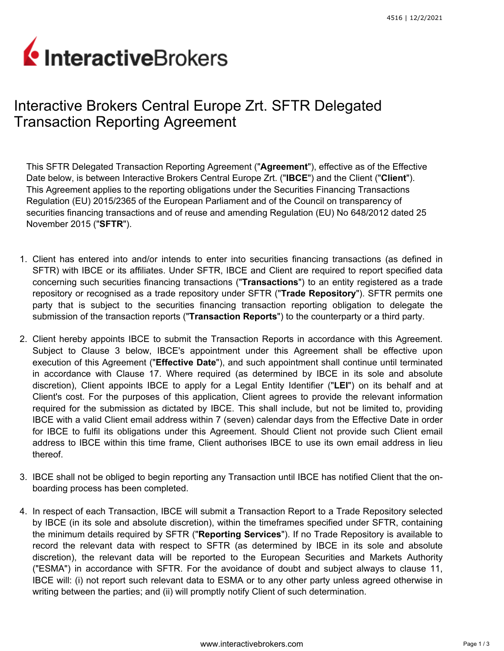## InteractiveBrokers

## Interactive Brokers Central Europe Zrt. SFTR Delegated Transaction Reporting Agreement

This SFTR Delegated Transaction Reporting Agreement ("**Agreement**"), effective as of the Effective Date below, is between Interactive Brokers Central Europe Zrt. ("**IBCE**") and the Client ("**Client**"). This Agreement applies to the reporting obligations under the Securities Financing Transactions Regulation (EU) 2015/2365 of the European Parliament and of the Council on transparency of securities financing transactions and of reuse and amending Regulation (EU) No 648/2012 dated 25 November 2015 ("**SFTR**").

- 1. Client has entered into and/or intends to enter into securities financing transactions (as defined in SFTR) with IBCE or its affiliates. Under SFTR, IBCE and Client are required to report specified data concerning such securities financing transactions ("**Transactions**") to an entity registered as a trade repository or recognised as a trade repository under SFTR ("**Trade Repository**"). SFTR permits one party that is subject to the securities financing transaction reporting obligation to delegate the submission of the transaction reports ("**Transaction Reports**") to the counterparty or a third party.
- 2. Client hereby appoints IBCE to submit the Transaction Reports in accordance with this Agreement. Subject to Clause 3 below, IBCE's appointment under this Agreement shall be effective upon execution of this Agreement ("**Effective Date**"), and such appointment shall continue until terminated in accordance with Clause 17. Where required (as determined by IBCE in its sole and absolute discretion), Client appoints IBCE to apply for a Legal Entity Identifier ("**LEI**") on its behalf and at Client's cost. For the purposes of this application, Client agrees to provide the relevant information required for the submission as dictated by IBCE. This shall include, but not be limited to, providing IBCE with a valid Client email address within 7 (seven) calendar days from the Effective Date in order for IBCE to fulfil its obligations under this Agreement. Should Client not provide such Client email address to IBCE within this time frame, Client authorises IBCE to use its own email address in lieu thereof.
- 3. IBCE shall not be obliged to begin reporting any Transaction until IBCE has notified Client that the onboarding process has been completed.
- 4. In respect of each Transaction, IBCE will submit a Transaction Report to a Trade Repository selected by IBCE (in its sole and absolute discretion), within the timeframes specified under SFTR, containing the minimum details required by SFTR ("**Reporting Services**"). If no Trade Repository is available to record the relevant data with respect to SFTR (as determined by IBCE in its sole and absolute discretion), the relevant data will be reported to the European Securities and Markets Authority ("ESMA") in accordance with SFTR. For the avoidance of doubt and subject always to clause 11, IBCE will: (i) not report such relevant data to ESMA or to any other party unless agreed otherwise in writing between the parties; and (ii) will promptly notify Client of such determination.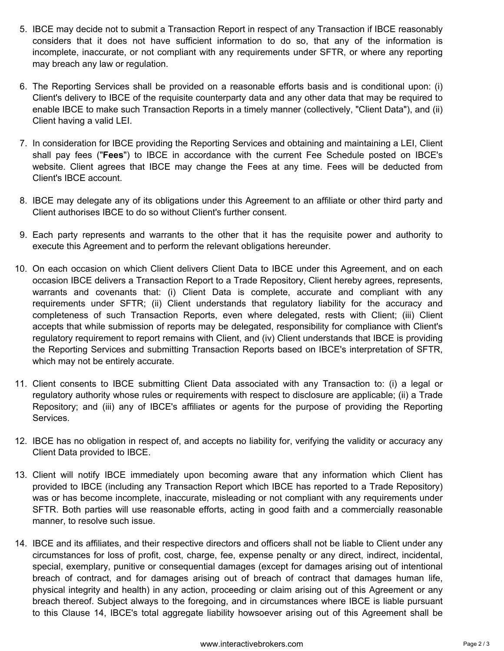- 5. IBCE may decide not to submit a Transaction Report in respect of any Transaction if IBCE reasonably considers that it does not have sufficient information to do so, that any of the information is incomplete, inaccurate, or not compliant with any requirements under SFTR, or where any reporting may breach any law or regulation.
- 6. The Reporting Services shall be provided on a reasonable efforts basis and is conditional upon: (i) Client's delivery to IBCE of the requisite counterparty data and any other data that may be required to enable IBCE to make such Transaction Reports in a timely manner (collectively, "Client Data"), and (ii) Client having a valid LEI.
- 7. In consideration for IBCE providing the Reporting Services and obtaining and maintaining a LEI, Client shall pay fees ("**Fees**") to IBCE in accordance with the current Fee Schedule posted on IBCE's website. Client agrees that IBCE may change the Fees at any time. Fees will be deducted from Client's IBCE account.
- 8. IBCE may delegate any of its obligations under this Agreement to an affiliate or other third party and Client authorises IBCE to do so without Client's further consent.
- 9. Each party represents and warrants to the other that it has the requisite power and authority to execute this Agreement and to perform the relevant obligations hereunder.
- 10. On each occasion on which Client delivers Client Data to IBCE under this Agreement, and on each occasion IBCE delivers a Transaction Report to a Trade Repository, Client hereby agrees, represents, warrants and covenants that: (i) Client Data is complete, accurate and compliant with any requirements under SFTR; (ii) Client understands that regulatory liability for the accuracy and completeness of such Transaction Reports, even where delegated, rests with Client; (iii) Client accepts that while submission of reports may be delegated, responsibility for compliance with Client's regulatory requirement to report remains with Client, and (iv) Client understands that IBCE is providing the Reporting Services and submitting Transaction Reports based on IBCE's interpretation of SFTR, which may not be entirely accurate.
- 11. Client consents to IBCE submitting Client Data associated with any Transaction to: (i) a legal or regulatory authority whose rules or requirements with respect to disclosure are applicable; (ii) a Trade Repository; and (iii) any of IBCE's affiliates or agents for the purpose of providing the Reporting Services.
- 12. IBCE has no obligation in respect of, and accepts no liability for, verifying the validity or accuracy any Client Data provided to IBCE.
- 13. Client will notify IBCE immediately upon becoming aware that any information which Client has provided to IBCE (including any Transaction Report which IBCE has reported to a Trade Repository) was or has become incomplete, inaccurate, misleading or not compliant with any requirements under SFTR. Both parties will use reasonable efforts, acting in good faith and a commercially reasonable manner, to resolve such issue.
- 14. IBCE and its affiliates, and their respective directors and officers shall not be liable to Client under any circumstances for loss of profit, cost, charge, fee, expense penalty or any direct, indirect, incidental, special, exemplary, punitive or consequential damages (except for damages arising out of intentional breach of contract, and for damages arising out of breach of contract that damages human life, physical integrity and health) in any action, proceeding or claim arising out of this Agreement or any breach thereof. Subject always to the foregoing, and in circumstances where IBCE is liable pursuant to this Clause 14, IBCE's total aggregate liability howsoever arising out of this Agreement shall be